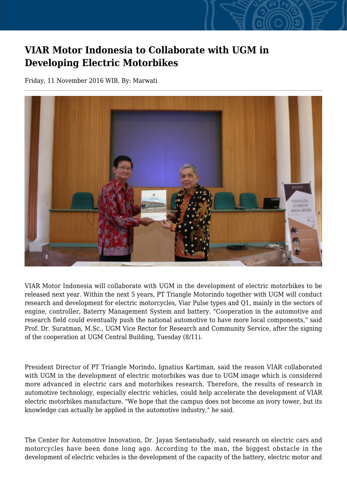## **VIAR Motor Indonesia to Collaborate with UGM in Developing Electric Motorbikes**

Friday, 11 November 2016 WIB, By: Marwati



VIAR Motor Indonesia will collaborate with UGM in the development of electric motorbikes to be released next year. Within the next 5 years, PT Triangle Motorindo together with UGM will conduct research and development for electric motorcycles, Viar Pulse types and Q1, mainly in the sectors of engine, controller, Baterry Management System and battery. "Cooperation in the automotive and research field could eventually push the national automotive to have more local components," said Prof. Dr. Suratman, M.Sc., UGM Vice Rector for Research and Community Service, after the signing of the cooperation at UGM Central Building, Tuesday (8/11).

President Director of PT Triangle Morindo, Ignatius Kartiman, said the reason VIAR collaborated with UGM in the development of electric motorbikes was due to UGM image which is considered more advanced in electric cars and motorbikes research. Therefore, the results of research in automotive technology, especially electric vehicles, could help accelerate the development of VIAR electric motorbikes manufacture. "We hope that the campus does not become an ivory tower, but its knowledge can actually be applied in the automotive industry," he said.

The Center for Automotive Innovation, Dr. Jayan Sentanuhady, said research on electric cars and motorcycles have been done long ago. According to the man, the biggest obstacle in the development of electric vehicles is the development of the capacity of the battery, electric motor and